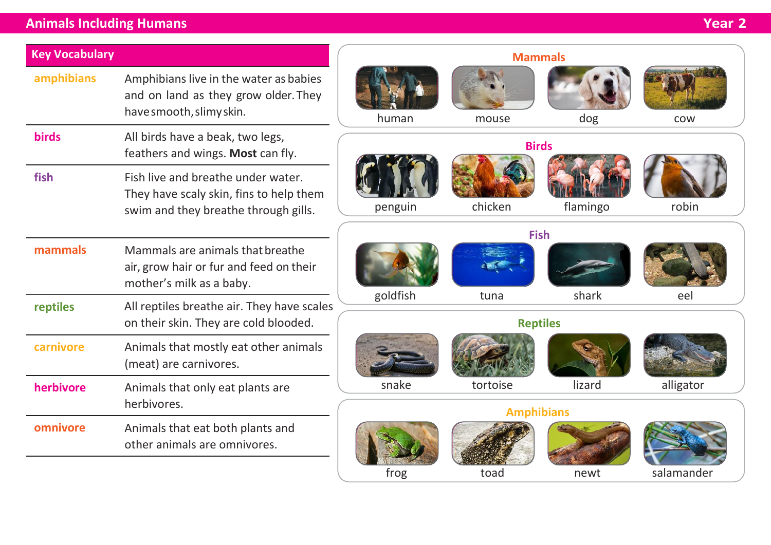## **Animals Including Humans Year 2**

| <b>Key Vocabulary</b> |                                                                                                                       | <b>Mammals</b>                 |                                                               |             |          |            |  |
|-----------------------|-----------------------------------------------------------------------------------------------------------------------|--------------------------------|---------------------------------------------------------------|-------------|----------|------------|--|
| amphibians            | Amphibians live in the water as babies<br>and on land as they grow older. They<br>have smooth, slimy skin.            |                                | human                                                         | mouse       | dog      | <b>COW</b> |  |
| <b>birds</b>          | All birds have a beak, two legs,<br>feathers and wings. Most can fly.                                                 |                                | <b>Birds</b>                                                  |             |          |            |  |
| fish                  | Fish live and breathe under water.<br>They have scaly skin, fins to help them<br>swim and they breathe through gills. |                                | penguin                                                       | chicken     | flamingo | robin      |  |
| mammals               | Mammals are animals that breathe<br>air, grow hair or fur and feed on their<br>mother's milk as a baby.               |                                | goldfish                                                      | <b>Fish</b> | shark    |            |  |
| reptiles              | All reptiles breathe air. They have scales<br>on their skin. They are cold blooded.                                   | eel<br>tuna<br><b>Reptiles</b> |                                                               |             |          |            |  |
| carnivore             | Animals that mostly eat other animals<br>(meat) are carnivores.                                                       |                                |                                                               |             |          |            |  |
| herbivore             | Animals that only eat plants are<br>herbivores.                                                                       |                                | snake<br>lizard<br>alligator<br>tortoise<br><b>Amphibians</b> |             |          |            |  |
| omnivore              | Animals that eat both plants and<br>other animals are omnivores.                                                      |                                | frog                                                          | toad        | newt     | salamander |  |